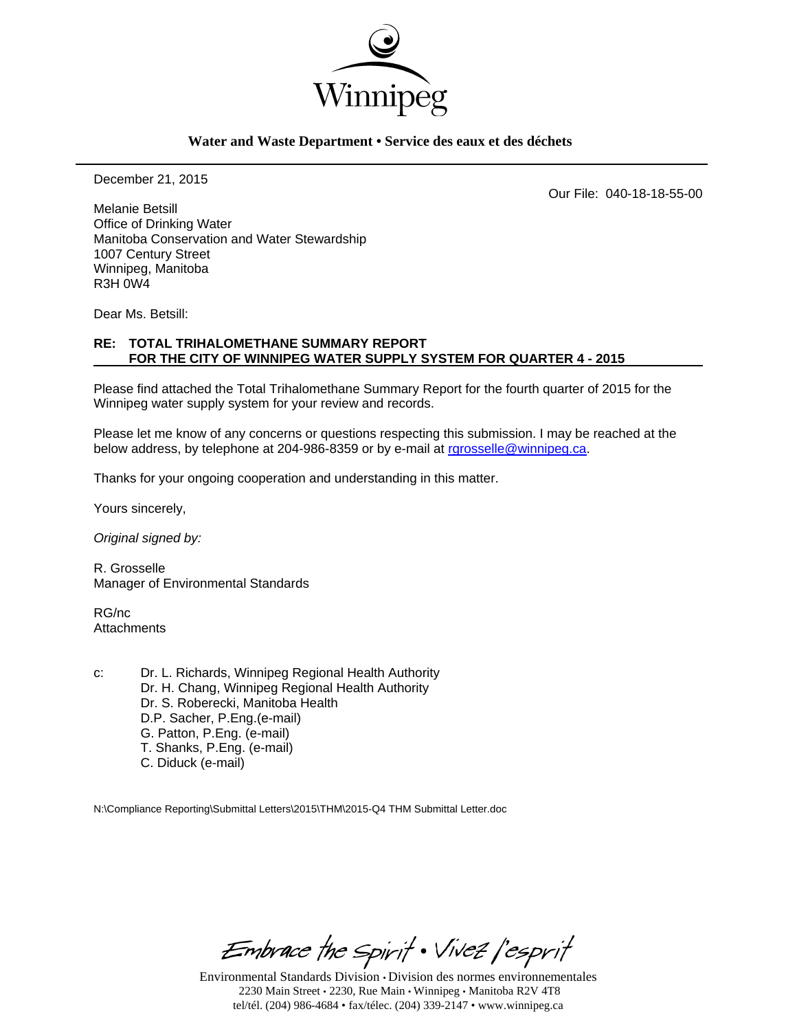

#### **Water and Waste Department • Service des eaux et des déchets**

December 21, 2015

Our File: 040-18-18-55-00

Melanie Betsill Office of Drinking Water Manitoba Conservation and Water Stewardship 1007 Century Street Winnipeg, Manitoba R3H 0W4

Dear Ms. Betsill:

### **RE: TOTAL TRIHALOMETHANE SUMMARY REPORT FOR THE CITY OF WINNIPEG WATER SUPPLY SYSTEM FOR QUARTER 4 - 2015**

Please find attached the Total Trihalomethane Summary Report for the fourth quarter of 2015 for the Winnipeg water supply system for your review and records.

Please let me know of any concerns or questions respecting this submission. I may be reached at the below address, by telephone at 204-986-8359 or by e-mail at rgrosselle@winnipeg.ca.

Thanks for your ongoing cooperation and understanding in this matter.

Yours sincerely,

*Original signed by:* 

R. Grosselle Manager of Environmental Standards

RG/nc **Attachments** 

c: Dr. L. Richards, Winnipeg Regional Health Authority Dr. H. Chang, Winnipeg Regional Health Authority Dr. S. Roberecki, Manitoba Health D.P. Sacher, P.Eng.(e-mail) G. Patton, P.Eng. (e-mail) T. Shanks, P.Eng. (e-mail) C. Diduck (e-mail)

N:\Compliance Reporting\Submittal Letters\2015\THM\2015-Q4 THM Submittal Letter.doc

Embrace the Spirit . Vivez l'esprit

Environmental Standards Division • Division des normes environnementales 2230 Main Street • 2230, Rue Main • Winnipeg • Manitoba R2V 4T8 tel/tél. (204) 986-4684 • fax/télec. (204) 339-2147 • www.winnipeg.ca